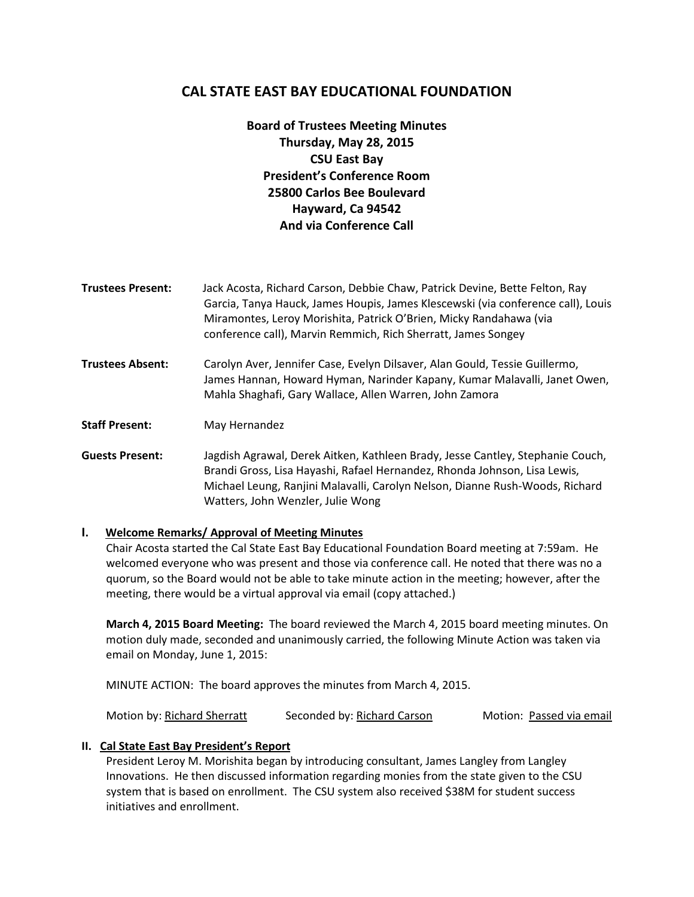# **CAL STATE EAST BAY EDUCATIONAL FOUNDATION**

**Board of Trustees Meeting Minutes Thursday, May 28, 2015 CSU East Bay President's Conference Room 25800 Carlos Bee Boulevard Hayward, Ca 94542 And via Conference Call**

- **Trustees Present:** Jack Acosta, Richard Carson, Debbie Chaw, Patrick Devine, Bette Felton, Ray Garcia, Tanya Hauck, James Houpis, James Klescewski (via conference call), Louis Miramontes, Leroy Morishita, Patrick O'Brien, Micky Randahawa (via conference call), Marvin Remmich, Rich Sherratt, James Songey
- **Trustees Absent:** Carolyn Aver, Jennifer Case, Evelyn Dilsaver, Alan Gould, Tessie Guillermo, James Hannan, Howard Hyman, Narinder Kapany, Kumar Malavalli, Janet Owen, Mahla Shaghafi, Gary Wallace, Allen Warren, John Zamora

**Staff Present:** May Hernandez

**Guests Present:** Jagdish Agrawal, Derek Aitken, Kathleen Brady, Jesse Cantley, Stephanie Couch, Brandi Gross, Lisa Hayashi, Rafael Hernandez, Rhonda Johnson, Lisa Lewis, Michael Leung, Ranjini Malavalli, Carolyn Nelson, Dianne Rush-Woods, Richard Watters, John Wenzler, Julie Wong

## **I. Welcome Remarks/ Approval of Meeting Minutes**

Chair Acosta started the Cal State East Bay Educational Foundation Board meeting at 7:59am. He welcomed everyone who was present and those via conference call. He noted that there was no a quorum, so the Board would not be able to take minute action in the meeting; however, after the meeting, there would be a virtual approval via email (copy attached.)

**March 4, 2015 Board Meeting:** The board reviewed the March 4, 2015 board meeting minutes. On motion duly made, seconded and unanimously carried, the following Minute Action was taken via email on Monday, June 1, 2015:

MINUTE ACTION: The board approves the minutes from March 4, 2015.

Motion by: Richard Sherratt Seconded by: Richard Carson Motion: Passed via email

## **II. Cal State East Bay President's Report**

President Leroy M. Morishita began by introducing consultant, James Langley from Langley Innovations. He then discussed information regarding monies from the state given to the CSU system that is based on enrollment. The CSU system also received \$38M for student success initiatives and enrollment.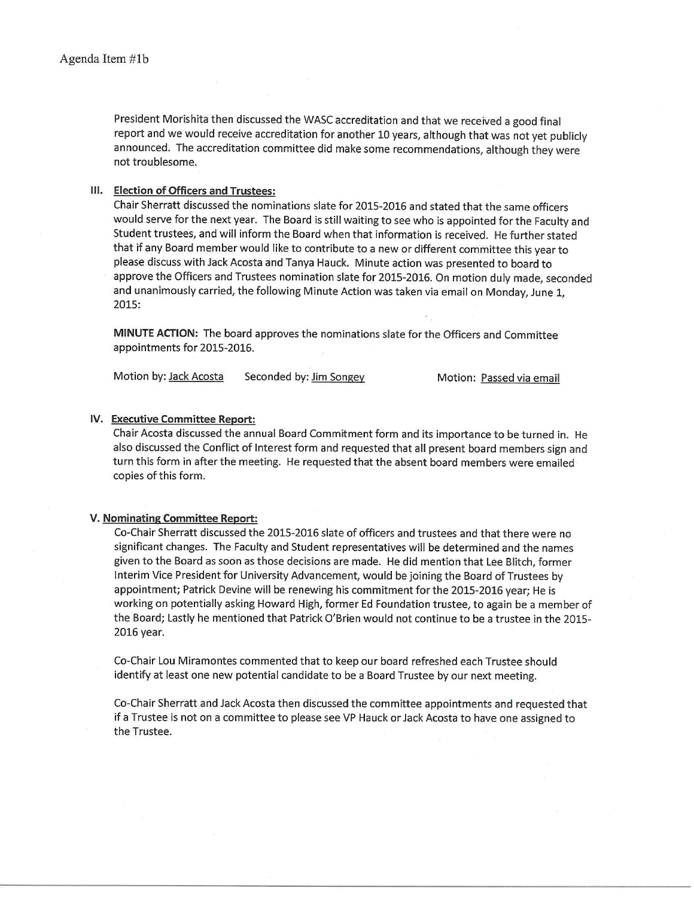President Morishita then discussed the WASC accreditation and that we received a good final report and we would receive accreditation for another 10 years, although that was not yet publicly announced. The accreditation committee did make some recommendations, although they were not troublesome.

### III. Election of Officers and Trustees:

Chair Sherratt discussed the nominations slate for 2015-2016 and stated that the same officers would serve for the next year. The Board is still waiting to see who is appointed for the Faculty and Student trustees, and will inform the Board when that information is received. He further stated that if any Board member would like to contribute to a new or different committee this year to please discuss with Jack Acosta and Tanya Hauck. Minute action was presented to board to approve the Officers and Trustees nomination slate for 2015-2016. On motion duly made, seconded and unanimously carried, the following Minute Action was taken via email on Monday, June 1, 2015:

MINUTE ACTION: The board approves the nominations slate for the Officers and Committee appointments for 2015-2016.

Motion by: Jack Acosta Seconded by: Jim Songey Motion: Passed via email

#### IV. Executive Committee Report:

Chair Acosta discussed the annual Board Commitment form and its importance to be turned in. He also discussed the Conflict of Interest form and requested that all present board members sign and turn this form in after the meeting. He requested that the absent board members were emailed copies of this form.

### V. Nominating Committee Report:

Co-Chair Sherratt discussed the 2015-2016 slate of officers and trustees and that there were no significant changes. The Faculty and Student representatives will be determined and the names given to the Board as soon as those decisions are made. He did mention that Lee Blitch, former Interim Vice President for University Advancement, would be joining the Board of Trustees by appointment; Patrick Devine will be renewing his commitment for the 2015-2016 year; He is working on potentially asking Howard High, former Ed Foundation trustee, to again be a member of the Board; Lastly he mentioned that Patrick O'Brien would not continue to be a trustee in the 2015-2016 year.

Co-Chair Lou Miramontes commented that to keep our board refreshed each Trustee should identify at least one new potential candidate to be a Board Trustee by our next meeting.

Co-Chair Sherratt and Jack Acosta then discussed the committee appointments and requested that if a Trustee is not on a committee to please see VP Hauck or Jack Acosta to have one assigned to the Trustee.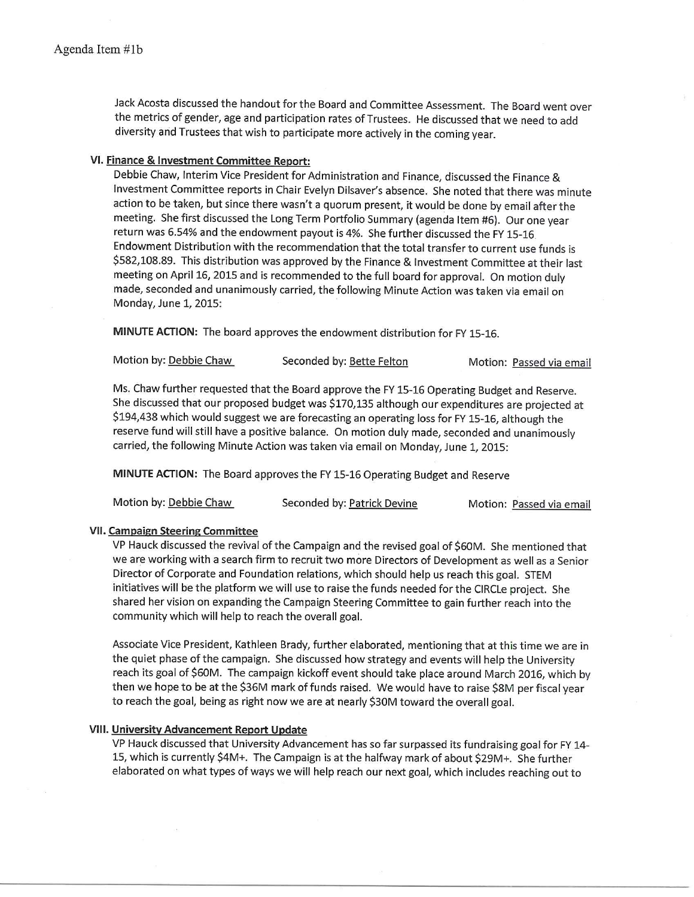Jack Acosta discussed the handout for the Board and Committee Assessment. The Board went over the metrics of gender, age and participation rates of Trustees. He discussed that we need to add diversity and Trustees that wish to participate more actively in the coming year.

## VI. Finance & Investment Committee Report:

Debbie Chaw, Interim Vice President for Administration and Finance, discussed the Finance & Investment Committee reports in Chair Evelyn Dilsaver's absence. She noted that there was minute action to be taken, but since there wasn't a quorum present, it would be done by email after the meeting. She first discussed the Long Term Portfolio Summary (agenda Item #6). Our one year return was 6.54% and the endowment payout is 4%. She further discussed the FY 15-16 Endowment Distribution with the recommendation that the total transfer to current use funds is \$582,108.89. This distribution was approved by the Finance & Investment Committee at their last meeting on April 16, 2015 and is recommended to the full board for approval. On motion duly made, seconded and unanimously carried, the following Minute Action was taken via email on Monday, June 1, 2015:

MINUTE ACTION: The board approves the endowment distribution for FY 15-16.

| Motion by: Debbie Chaw<br>Seconded by: Bette Felton |  | Motion: Passed via email |
|-----------------------------------------------------|--|--------------------------|
|-----------------------------------------------------|--|--------------------------|

Ms. Chaw further requested that the Board approve the FY 15-16 Operating Budget and Reserve. She discussed that our proposed budget was \$170,135 although our expenditures are projected at \$194,438 which would suggest we are forecasting an operating loss for FY 15-16, although the reserve fund will still have a positive balance. On motion duly made, seconded and unanimously carried, the following Minute Action was taken via email on Monday, June 1, 2015:

MINUTE ACTION: The Board approves the FY 15-16 Operating Budget and Reserve

| Motion by: Debbie Chaw | Seconded by: Patrick Devine |  | Motion: Passed via email |
|------------------------|-----------------------------|--|--------------------------|
|------------------------|-----------------------------|--|--------------------------|

### **VII. Campaign Steering Committee**

VP Hauck discussed the revival of the Campaign and the revised goal of \$60M. She mentioned that we are working with a search firm to recruit two more Directors of Development as well as a Senior Director of Corporate and Foundation relations, which should help us reach this goal. STEM initiatives will be the platform we will use to raise the funds needed for the CIRCLe project. She shared her vision on expanding the Campaign Steering Committee to gain further reach into the community which will help to reach the overall goal.

Associate Vice President, Kathleen Brady, further elaborated, mentioning that at this time we are in the quiet phase of the campaign. She discussed how strategy and events will help the University reach its goal of \$60M. The campaign kickoff event should take place around March 2016, which by then we hope to be at the \$36M mark of funds raised. We would have to raise \$8M per fiscal year to reach the goal, being as right now we are at nearly \$30M toward the overall goal.

### **VIII. University Advancement Report Update**

VP Hauck discussed that University Advancement has so far surpassed its fundraising goal for FY 14-15, which is currently \$4M+. The Campaign is at the halfway mark of about \$29M+. She further elaborated on what types of ways we will help reach our next goal, which includes reaching out to